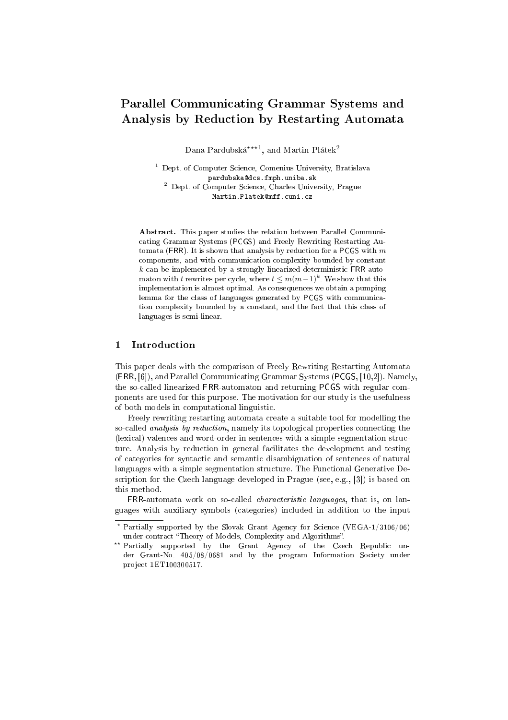# Parallel Communicating Grammar Systems and Analysis by Reduction by Restarting Automata

Dana Pardubská<sup>\*\*\*1</sup>, and Martin Plátek<sup>2</sup>

<sup>1</sup> Dept. of Computer Science, Comenius University, Bratislava pardubska@dcs.fmph.uniba.sk <sup>2</sup> Dept. of Computer Science, Charles University, Prague Martin.Platek@mff.cuni.cz

Abstract. This paper studies the relation between Parallel Communicating Grammar Systems (PCGS) and Freely Rewriting Restarting Automata (FRR). It is shown that analysis by reduction for a PCGS with  $m$ components, and with communication complexity bounded by constant  $k$  can be implemented by a strongly linearized deterministic FRR-automaton with  $t$  rewrites per cycle, where  $t \leq m(m-1)^k$  . We show that this implementation is almost optimal. As consequences we obtain a pumping lemma for the class of languages generated by PCGS with communication complexity bounded by a constant, and the fact that this class of languages is semi-linear.

# 1 Introduction

This paper deals with the comparison of Freely Rewriting Restarting Automata (FRR, [6]), and Parallel Communicating Grammar Systems (PCGS, [10,2]). Namely, the so-called linearized FRR-automaton and returning PCGS with regular components are used for this purpose. The motivation for our study is the usefulness of both models in computational linguistic.

Freely rewriting restarting automata create a suitable tool for modelling the so-called *analysis by reduction*, namely its topological properties connecting the (lexical) valences and word-order in sentences with a simple segmentation structure. Analysis by reduction in general facilitates the development and testing of categories for syntactic and semantic disambiguation of sentences of natural languages with a simple segmentation structure. The Functional Generative Description for the Czech language developed in Prague (see, e.g., [3]) is based on this method.

FRR-automata work on so-called characteristic languages, that is, on languages with auxiliary symbols (categories) included in addition to the input

<sup>?</sup> Partially supported by the Slovak Grant Agency for Science (VEGA-1/3106/06) under contract "Theory of Models, Complexity and Algorithms".

<sup>\*\*</sup> Partially supported by the Grant Agency of the Czech Republic under Grant-No. 405/08/0681 and by the program Information Society under project 1ET100300517.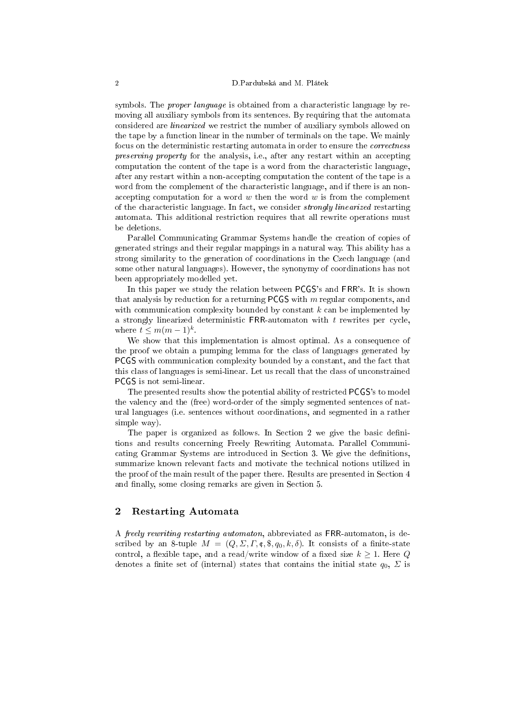symbols. The *proper language* is obtained from a characteristic language by removing all auxiliary symbols from its sentences. By requiring that the automata considered are linearized we restrict the number of auxiliary symbols allowed on the tape by a function linear in the number of terminals on the tape. We mainly focus on the deterministic restarting automata in order to ensure the *correctness* preserving property for the analysis, i.e., after any restart within an accepting computation the content of the tape is a word from the characteristic language, after any restart within a non-accepting computation the content of the tape is a word from the complement of the characteristic language, and if there is an nonaccepting computation for a word  $w$  then the word  $w$  is from the complement of the characteristic language. In fact, we consider strongly linearized restarting automata. This additional restriction requires that all rewrite operations must be deletions.

Parallel Communicating Grammar Systems handle the creation of copies of generated strings and their regular mappings in a natural way. This ability has a strong similarity to the generation of coordinations in the Czech language (and some other natural languages). However, the synonymy of coordinations has not been appropriately modelled yet.

In this paper we study the relation between PCGS's and FRR's. It is shown that analysis by reduction for a returning PCGS with  $m$  regular components, and with communication complexity bounded by constant  $k$  can be implemented by a strongly linearized deterministic FRR-automaton with  $t$  rewrites per cycle, where  $t \leq m(m-1)^k$ .

We show that this implementation is almost optimal. As a consequence of the proof we obtain a pumping lemma for the class of languages generated by PCGS with communication complexity bounded by a constant, and the fact that this class of languages is semi-linear. Let us recall that the class of unconstrained PCGS is not semi-linear.

The presented results show the potential ability of restricted PCGS's to model the valency and the (free) word-order of the simply segmented sentences of natural languages (i.e. sentences without coordinations, and segmented in a rather simple way).

The paper is organized as follows. In Section 2 we give the basic definitions and results concerning Freely Rewriting Automata. Parallel Communicating Grammar Systems are introduced in Section 3. We give the denitions, summarize known relevant facts and motivate the technical notions utilized in the proof of the main result of the paper there. Results are presented in Section 4 and finally, some closing remarks are given in Section 5.

### 2 Restarting Automata

A freely rewriting restarting automaton, abbreviated as FRR-automaton, is described by an 8-tuple  $M = (Q, \Sigma, \Gamma, \mathfrak{e}, \mathfrak{F}, q_0, k, \delta)$ . It consists of a finite-state control, a flexible tape, and a read/write window of a fixed size  $k \geq 1$ . Here Q denotes a finite set of (internal) states that contains the initial state  $q_0$ ,  $\Sigma$  is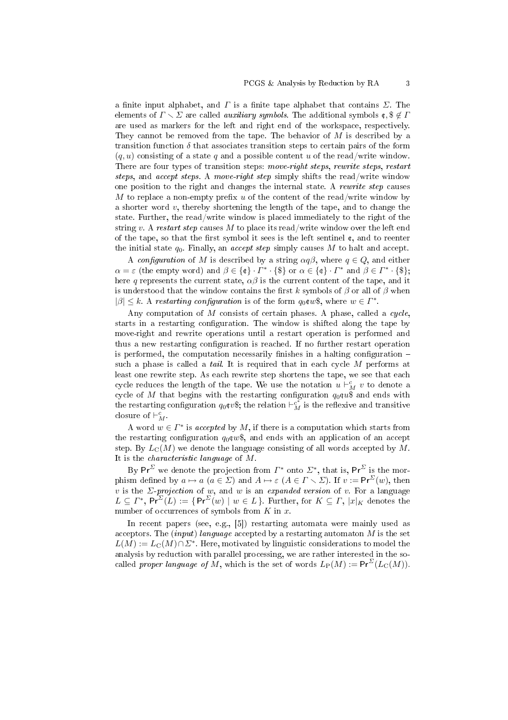a finite input alphabet, and  $\Gamma$  is a finite tape alphabet that contains  $\Sigma$ . The elements of  $\Gamma \setminus \Sigma$  are called *auxiliary symbols*. The additional symbols  $\mathfrak{e}, \mathfrak{F} \notin \Gamma$ are used as markers for the left and right end of the workspace, respectively. They cannot be removed from the tape. The behavior of  $M$  is described by a transition function  $\delta$  that associates transition steps to certain pairs of the form  $(q, u)$  consisting of a state q and a possible content u of the read/write window. There are four types of transition steps: move-right steps, rewrite steps, restart steps, and accept steps. A move-right step simply shifts the read/write window one position to the right and changes the internal state. A rewrite step causes M to replace a non-empty prefix u of the content of the read/write window by a shorter word  $v$ , thereby shortening the length of the tape, and to change the state. Further, the read/write window is placed immediately to the right of the string v. A restart step causes M to place its read/write window over the left end of the tape, so that the first symbol it sees is the left sentinel  $\mathfrak{c}$ , and to reenter the initial state  $q_0$ . Finally, an *accept step* simply causes M to halt and accept.

A configuration of M is described by a string  $\alpha q\beta$ , where  $q \in Q$ , and either  $\alpha = \varepsilon$  (the empty word) and  $\beta \in {\mathcal{C}} \setminus \{ \mathcal{C} \}$  or  $\alpha \in {\mathcal{C}} \setminus \{ \mathcal{C} \}$  and  $\beta \in \Gamma^* \setminus {\mathcal{C}}$ ; here q represents the current state,  $\alpha\beta$  is the current content of the tape, and it is understood that the window contains the first k symbols of  $\beta$  or all of  $\beta$  when  $|\beta| \leq k$ . A restarting configuration is of the form  $q_0 \text{cm} \text{*}$ , where  $w \in \Gamma^*$ .

Any computation of  $M$  consists of certain phases. A phase, called a cycle, starts in a restarting configuration. The window is shifted along the tape by move-right and rewrite operations until a restart operation is performed and thus a new restarting configuration is reached. If no further restart operation is performed, the computation necessarily finishes in a halting configuration  $$ such a phase is called a *tail*. It is required that in each cycle  $M$  performs at least one rewrite step. As each rewrite step shortens the tape, we see that each cycle reduces the length of the tape. We use the notation  $u\vdash_M^c v$  to denote a cycle of M that begins with the restarting configuration  $q_0\text{ru}\$$  and ends with the restarting configuration  $q_0 \text{c} v$ \$; the relation  $\vdash_M^{c^*}$  is the reflexive and transitive closure of  $\vdash_M^c$ .

A word  $w \in \Gamma^*$  is accepted by M, if there is a computation which starts from the restarting configuration  $q_0 \infty$ \$, and ends with an application of an accept step. By  $L_{\rm C}(M)$  we denote the language consisting of all words accepted by M. It is the characteristic language of M.

By Pr<sup>Σ</sup> we denote the projection from  $\Gamma^*$  onto  $\Sigma^*$ , that is, Pr<sup>Σ</sup> is the morphism defined by  $a \mapsto a$   $(a \in \Sigma)$  and  $A \mapsto \varepsilon$   $(A \in \Gamma \setminus \Sigma)$ . If  $v := \mathsf{Pr}^{\Sigma}(w)$ , then v is the  $\Sigma$ -projection of w, and w is an expanded version of v. For a language  $L \subseteq \Gamma^*$ , Pr<sup> $\Sigma(L) := \{ \Pr^{\Sigma}(w) \mid w \in L \}$ . Further, for  $K \subseteq \Gamma$ ,  $|x|_K$  denotes the</sup> number of occurrences of symbols from  $K$  in  $x$ .

In recent papers (see, e.g., [5]) restarting automata were mainly used as acceptors. The *(input) language* accepted by a restarting automaton  $M$  is the set  $L(M) := L_{\mathbb{C}}(M) \cap \mathbb{Z}^*$ . Here, motivated by linguistic considerations to model the analysis by reduction with parallel processing, we are rather interested in the socalled proper language of M, which is the set of words  $L_P(M) := Pr^{\Sigma}(L_C(M)).$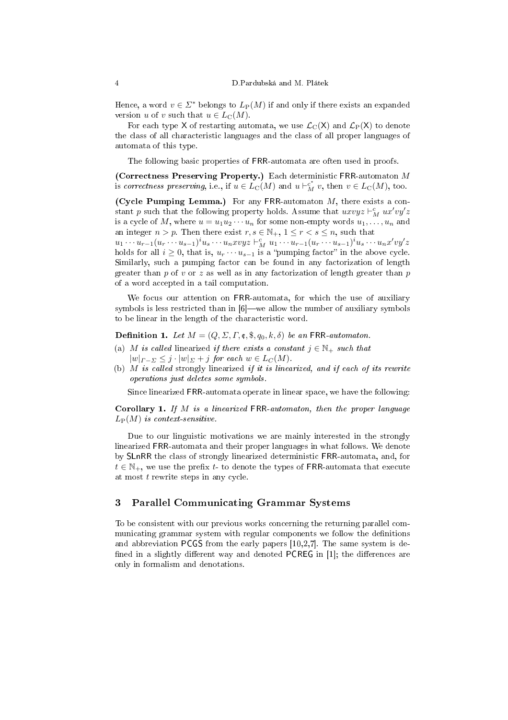Hence, a word  $v \in \Sigma^*$  belongs to  $L_P(M)$  if and only if there exists an expanded version u of v such that  $u \in L<sub>C</sub>(M)$ .

For each type X of restarting automata, we use  $\mathcal{L}_C(X)$  and  $\mathcal{L}_P(X)$  to denote the class of all characteristic languages and the class of all proper languages of automata of this type.

The following basic properties of FRR-automata are often used in proofs.

(Correctness Preserving Property.) Each deterministic FRR-automaton M is correctness preserving, i.e., if  $u \in L_{\mathcal{C}}(M)$  and  $u \vdash_M^{c^*} v$ , then  $v \in L_{\mathcal{C}}(M)$ , too.

(Cycle Pumping Lemma.) For any FRR-automaton  $M$ , there exists a constant p such that the following property holds. Assume that  $uxvyz \vdash_M^c ux'vy'z$ is a cycle of M, where  $u = u_1u_2\cdots u_n$  for some non-empty words  $u_1, \ldots, u_n$  and an integer  $n > p$ . Then there exist  $r, s \in \mathbb{N}_+$ ,  $1 \leq r < s \leq n$ , such that

 $u_1 \cdots u_{r-1} (u_r \cdots u_{s-1})^i u_s \cdots u_n x v y z \vdash_M^c u_1 \cdots u_{r-1} (u_r \cdots u_{s-1})^i u_s \cdots u_n x' v y' z$ holds for all  $i \geq 0$ , that is,  $u_r \cdots u_{s-1}$  is a "pumping factor" in the above cycle. Similarly, such a pumping factor can be found in any factorization of length greater than p of v or z as well as in any factorization of length greater than p of a word accepted in a tail computation.

We focus our attention on FRR-automata, for which the use of auxiliary symbols is less restricted than in  $[6]$ —we allow the number of auxiliary symbols to be linear in the length of the characteristic word.

**Definition 1.** Let  $M = (Q, \Sigma, \Gamma, \mathfrak{e}, \mathfrak{F}, q_0, k, \delta)$  be an FRR-automaton.

- (a) M is called linearized if there exists a constant  $j \in \mathbb{N}_+$  such that  $|w|_{\Gamma-\Sigma} \leq j \cdot |w|_{\Sigma} + j$  for each  $w \in L_C(M)$ .
- (b)  $M$  is called strongly linearized if it is linearized, and if each of its rewrite operations just deletes some symbols.

Since linearized FRR-automata operate in linear space, we have the following:

**Corollary 1.** If M is a linearized FRR-automaton, then the proper language  $L_P(M)$  is context-sensitive.

Due to our linguistic motivations we are mainly interested in the strongly linearized FRR-automata and their proper languages in what follows. We denote by SLnRR the class of strongly linearized deterministic FRR-automata, and, for  $t \in \mathbb{N}_+$ , we use the prefix t- to denote the types of FRR-automata that execute at most t rewrite steps in any cycle.

# 3 Parallel Communicating Grammar Systems

To be consistent with our previous works concerning the returning parallel communicating grammar system with regular components we follow the definitions and abbreviation PCGS from the early papers [10,2,7]. The same system is de fined in a slightly different way and denoted **PCREG** in [1]; the differences are only in formalism and denotations.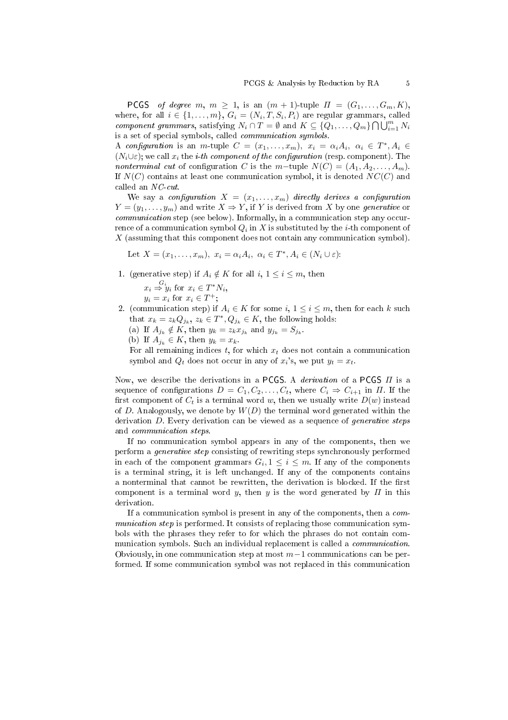PCGS of degree m,  $m \geq 1$ , is an  $(m + 1)$ -tuple  $\Pi = (G_1, \ldots, G_m, K)$ , where, for all  $i \in \{1, ..., m\}$ ,  $G_i = (N_i, T, S_i, P_i)$  are regular grammars, called component grammars, satisfying  $N_i \cap T = \emptyset$  and  $K \subseteq \{Q_1, \ldots, Q_m\} \bigcap \bigcup_{i=1}^m N_i$ is a set of special symbols, called communication symbols.

A configuration is an m-tuple  $C = (x_1, \ldots, x_m)$ ,  $x_i = \alpha_i A_i$ ,  $\alpha_i \in T^*$ ,  $A_i \in$  $(N_i \cup \varepsilon)$ ; we call  $x_i$  the *i*-th component of the configuration (resp. component). The nonterminal cut of configuration C is the m−tuple  $N(C) = (A_1, A_2, \ldots, A_m)$ . If  $N(C)$  contains at least one communication symbol, it is denoted  $NC(C)$  and called an NC-cut.

We say a configuration  $X = (x_1, \ldots, x_m)$  directly derives a configuration  $Y = (y_1, \ldots, y_m)$  and write  $X \Rightarrow Y$ , if Y is derived from X by one generative or communication step (see below). Informally, in a communication step any occurrence of a communication symbol  $Q_i$  in  $X$  is substituted by the  $i\text{-th}$  component of  $X$  (assuming that this component does not contain any communication symbol).

Let  $X = (x_1, \ldots, x_m), x_i = \alpha_i A_i, \alpha_i \in T^*, A_i \in (N_i \cup \varepsilon)$ :

1. (generative step) if  $A_i \notin K$  for all  $i, 1 \leq i \leq m$ , then

 $x_i \stackrel{G_i}{\Rightarrow} y_i$  for  $x_i \in T^*N_i$ ,  $y_i = x_i$  for  $x_i \in T^+$ ;

- 2. (communication step) if  $A_i \in K$  for some  $i, 1 \leq i \leq m$ , then for each k such that  $x_k = z_k Q_{j_k}, z_k \in T^*, Q_{j_k} \in K$ , the following holds:
	- (a) If  $A_{j_k} \notin K$ , then  $y_k = z_k x_{j_k}$  and  $y_{j_k} = S_{j_k}$ .
	- (b) If  $A_{i_k} \in K$ , then  $y_k = x_k$ .

For all remaining indices  $t$ , for which  $x_t$  does not contain a communication symbol and  $Q_t$  does not occur in any of  $x_i$ 's, we put  $y_t = x_t$ .

Now, we describe the derivations in a PCGS. A derivation of a PCGS Π is a sequence of configurations  $D = C_1, C_2, \ldots, C_t$ , where  $C_i \Rightarrow C_{i+1}$  in  $\Pi$ . If the first component of  $C_t$  is a terminal word w, then we usually write  $D(w)$  instead of D. Analogously, we denote by  $W(D)$  the terminal word generated within the derivation  $D$ . Every derivation can be viewed as a sequence of *generative steps* and communication steps.

If no communication symbol appears in any of the components, then we perform a generative step consisting of rewriting steps synchronously performed in each of the component grammars  $G_i, 1 \leq i \leq m$ . If any of the components is a terminal string, it is left unchanged. If any of the components contains a nonterminal that cannot be rewritten, the derivation is blocked. If the first component is a terminal word y, then y is the word generated by  $\Pi$  in this derivation.

If a communication symbol is present in any of the components, then a communication step is performed. It consists of replacing those communication symbols with the phrases they refer to for which the phrases do not contain communication symbols. Such an individual replacement is called a *communication*. Obviously, in one communication step at most  $m-1$  communications can be performed. If some communication symbol was not replaced in this communication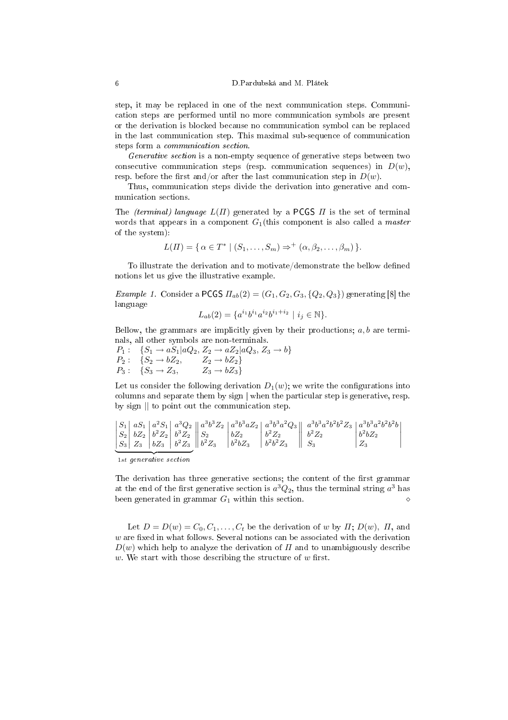step, it may be replaced in one of the next communication steps. Communication steps are performed until no more communication symbols are present or the derivation is blocked because no communication symbol can be replaced in the last communication step. This maximal sub-sequence of communication steps form a communication section.

Generative section is a non-empty sequence of generative steps between two consecutive communication steps (resp. communication sequences) in  $D(w)$ , resp. before the first and/or after the last communication step in  $D(w)$ .

Thus, communication steps divide the derivation into generative and communication sections.

The (terminal) language  $L(\Pi)$  generated by a PCGS  $\Pi$  is the set of terminal words that appears in a component  $G_1$ (this component is also called a *master* of the system):

$$
L(\Pi) = \{ \alpha \in T^* \mid (S_1, \ldots, S_m) \Rightarrow^+ (\alpha, \beta_2, \ldots, \beta_m) \}.
$$

To illustrate the derivation and to motivate/demonstrate the bellow defined notions let us give the illustrative example.

Example 1. Consider a PCGS  $\Pi_{ab}(2) = (G_1, G_2, G_3, \{Q_2, Q_3\})$  generating [8] the language

$$
L_{ab}(2) = \{a^{i_1}b^{i_1}a^{i_2}b^{i_1+i_2} \mid i_j \in \mathbb{N}\}.
$$

Bellow, the grammars are implicitly given by their productions;  $a, b$  are terminals, all other symbols are non-terminals.

 $P_1: \{S_1 \to aS_1 | aQ_2, Z_2 \to aZ_2 | aQ_3, Z_3 \to b\}$  $P_2: \quad \{S_2 \rightarrow bZ_2, \qquad Z_2 \rightarrow bZ_2\}$  $P_3: \{S_3 \to Z_3, \quad Z_3 \to bZ_3\}$ 

Let us consider the following derivation  $D_1(w)$ ; we write the configurations into columns and separate them by sign | when the particular step is generative, resp. by sign || to point out the communication step.

$$
\begin{vmatrix} S_1 & aS_1 & a^2S_1 & a^3Q_2 \\ S_2 & bZ_2 & b^2Z_2 & b^3Z_2 \\ S_3 & Z_3 & bZ_3 & b^2Z_3 \end{vmatrix} \begin{vmatrix} a^3b^3Z_2 & a^3b^3aZ_2 \\ b^3Z_2 & b^2Z_2 \\ b^2Z_3 & b^2bZ_3 \end{vmatrix} \begin{vmatrix} a^3b^3a^2Q_3 \\ b^2Z_2 \\ b^2b^2Z_3 \end{vmatrix} \begin{vmatrix} a^3b^3a^2b^2b^2Z_3 & a^3b^3a^2b^2b^2b \\ b^2Z_2 & b^2Z_2 \\ S_3 & S_3 \end{vmatrix} \begin{vmatrix} a^3b^3a^2b^2b^2Z_3 & a^3b^3a^2b^2b^2b \\ b^2bZ_2 & b^2Z_3 \\ Z_3 & S_3 \end{vmatrix}
$$

1st generative section

The derivation has three generative sections; the content of the first grammar at the end of the first generative section is  $a^3Q_2$ , thus the terminal string  $a^3$  has been generated in grammar  $G_1$  within this section.  $\diamond$ 

Let  $D = D(w) = C_0, C_1, \ldots, C_t$  be the derivation of w by  $\Pi$ ;  $D(w)$ ,  $\Pi$ , and  $w$  are fixed in what follows. Several notions can be associated with the derivation  $D(w)$  which help to analyze the derivation of  $\Pi$  and to unambiguously describe w. We start with those describing the structure of  $w$  first.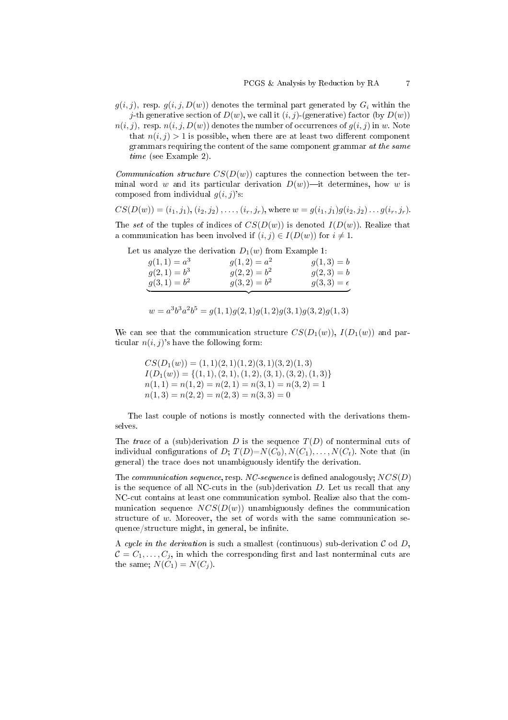- $g(i, j)$ , resp.  $g(i, j, D(w))$  denotes the terminal part generated by  $G_i$  within the j-th generative section of  $D(w)$ , we call it  $(i, j)$ -(generative) factor (by  $D(w)$ )
- $n(i, j)$ , resp.  $n(i, j, D(w))$  denotes the number of occurrences of  $g(i, j)$  in w. Note that  $n(i, j) > 1$  is possible, when there are at least two different component grammars requiring the content of the same component grammar at the same time (see Example 2).

Communication structure  $CS(D(w))$  captures the connection between the terminal word w and its particular derivation  $D(w)$ —it determines, how w is composed from individual  $g(i, j)$ 's:

$$
CS(D(w)) = (i_1, j_1), (i_2, j_2), \dots, (i_r, j_r), \text{where } w = g(i_1, j_1)g(i_2, j_2)\dots g(i_r, j_r).
$$

The set of the tuples of indices of  $CS(D(w))$  is denoted  $I(D(w))$ . Realize that a communication has been involved if  $(i, j) \in I(D(w))$  for  $i \neq 1$ .

Let us analyze the derivation  $D_1(w)$  from Example 1:

| $g(1,1) = a^3$ | $g(1,2) = a^2$ | $g(1,3) = b$      |
|----------------|----------------|-------------------|
| $g(2,1) = b^3$ | $g(2,2) = b^2$ | $g(2,3) = b$      |
| $g(3,1) = b^2$ | $g(3,2) = b^2$ | $g(3,3)=\epsilon$ |
|                |                |                   |

$$
w = a3b3a2b5 = g(1, 1)g(2, 1)g(1, 2)g(3, 1)g(3, 2)g(1, 3)
$$

We can see that the communication structure  $CS(D_1(w))$ ,  $I(D_1(w))$  and particular  $n(i, j)$ 's have the following form:

 $CS(D_1(w)) = (1, 1)(2, 1)(1, 2)(3, 1)(3, 2)(1, 3)$  $I(D_1(w)) = \{(1, 1), (2, 1), (1, 2), (3, 1), (3, 2), (1, 3)\}$  $n(1, 1) = n(1, 2) = n(2, 1) = n(3, 1) = n(3, 2) = 1$  $n(1,3) = n(2,2) = n(2,3) = n(3,3) = 0$ 

The last couple of notions is mostly connected with the derivations themselves.

The trace of a (sub)derivation D is the sequence  $T(D)$  of nonterminal cuts of individual configurations of D;  $T(D)=N(C_0), N(C_1), \ldots, N(C_t)$ . Note that (in general) the trace does not unambiguously identify the derivation.

The communication sequence, resp. NC-sequence is defined analogously;  $NCS(D)$ is the sequence of all NC-cuts in the  $(sub)$  derivation  $D$ . Let us recall that any NC-cut contains at least one communication symbol. Realize also that the communication sequence  $NCS(D(w))$  unambiguously defines the communication structure of  $w$ . Moreover, the set of words with the same communication sequence/structure might, in general, be infinite.

A cycle in the derivation is such a smallest (continuous) sub-derivation  $\mathcal C$  od  $D$ ,  $C = C_1, \ldots, C_j$ , in which the corresponding first and last nonterminal cuts are the same;  $N(C_1) = N(C_i)$ .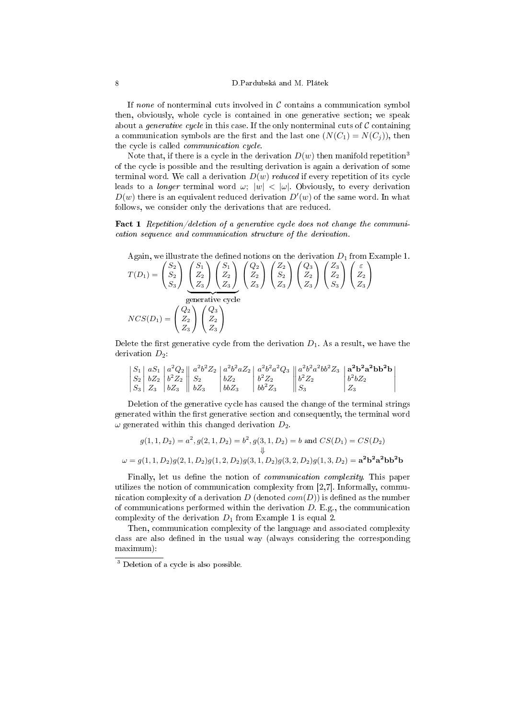If none of nonterminal cuts involved in  $\mathcal C$  contains a communication symbol then, obviously, whole cycle is contained in one generative section; we speak about a *generative cycle* in this case. If the only nonterminal cuts of  $C$  containing a communication symbols are the first and the last one  $(N(C_1) = N(C_i))$ , then the cycle is called *communication cycle*.

Note that, if there is a cycle in the derivation  $D(w)$  then manifold repetition<sup>3</sup> of the cycle is possible and the resulting derivation is again a derivation of some terminal word. We call a derivation  $D(w)$  reduced if every repetition of its cycle leads to a *longer* terminal word  $\omega$ ;  $|w| < |\omega|$ . Obviously, to every derivation  $D(w)$  there is an equivalent reduced derivation  $D'(w)$  of the same word. In what follows, we consider only the derivations that are reduced.

Fact 1 Repetition/deletion of a generative cycle does not change the communication sequence and communication structure of the derivation.

Again, we illustrate the defined notions on the derivation 
$$
D_1
$$
 from Example 1.  
\n
$$
T(D_1) = \begin{pmatrix} S_2 \\ S_2 \\ S_3 \end{pmatrix} \begin{pmatrix} S_1 \\ Z_2 \\ Z_3 \end{pmatrix} \begin{pmatrix} S_1 \\ Z_2 \\ Z_3 \end{pmatrix} \begin{pmatrix} Q_2 \\ Z_2 \\ Z_3 \end{pmatrix} \begin{pmatrix} Z_2 \\ Z_2 \\ Z_3 \end{pmatrix} \begin{pmatrix} Q_3 \\ Z_2 \\ Z_3 \end{pmatrix} \begin{pmatrix} Z_3 \\ Z_2 \\ Z_3 \end{pmatrix} \begin{pmatrix} Z_3 \\ Z_2 \\ Z_3 \end{pmatrix}
$$
\ngenerative cycle  
\n
$$
NCS(D_1) = \begin{pmatrix} Q_2 \\ Z_2 \\ Z_3 \end{pmatrix} \begin{pmatrix} Q_3 \\ Z_2 \\ Z_3 \end{pmatrix}
$$

Delete the first generative cycle from the derivation  $D_1$ . As a result, we have the derivation  $D_2$ :

$$
\begin{vmatrix} S_1 & aS_1 & a^2Q_2 \\ S_2 & bZ_2 & b^2Z_2 \\ S_3 & Z_3 & bZ_3 \end{vmatrix} \begin{vmatrix} a^2b^2Z_2 & a^2b^2aZ_2 & a^2b^2a^2Q_3 \\ s_2 & bZ_2 & b^2Z_2 \\ b_2 & b_2 & b^2Z_3 \end{vmatrix} \begin{vmatrix} a^2b^2a^2bb^2Z_3 & a^2b^2a^2bb^2B \\ b^2Z_2 & b^2bZ_2 & b^2bZ_2 \\ s_3 & s_2 & s_2 \end{vmatrix}
$$

Deletion of the generative cycle has caused the change of the terminal strings generated within the first generative section and consequently, the terminal word  $\omega$  generated within this changed derivation  $D_2$ .

$$
g(1, 1, D_2) = a^2, g(2, 1, D_2) = b^2, g(3, 1, D_2) = b \text{ and } CS(D_1) = CS(D_2)
$$
  

$$
\downarrow \qquad \qquad \downarrow
$$
  

$$
\omega = g(1, 1, D_2)g(2, 1, D_2)g(1, 2, D_2)g(3, 1, D_2)g(3, 2, D_2)g(1, 3, D_2) = \mathbf{a}^2 \mathbf{b}^2 \mathbf{a}^2 \mathbf{b} \mathbf{b}^2 \mathbf{b}
$$

Finally, let us define the notion of *communication complexity*. This paper utilizes the notion of communication complexity from [2,7]. Informally, communication complexity of a derivation  $D$  (denoted  $com(D)$ ) is defined as the number of communications performed within the derivation  $D$ . E.g., the communication complexity of the derivation  $D_1$  from Example 1 is equal 2.

Then, communication complexity of the language and associated complexity class are also defined in the usual way (always considering the corresponding maximum):

<sup>3</sup> Deletion of a cycle is also possible.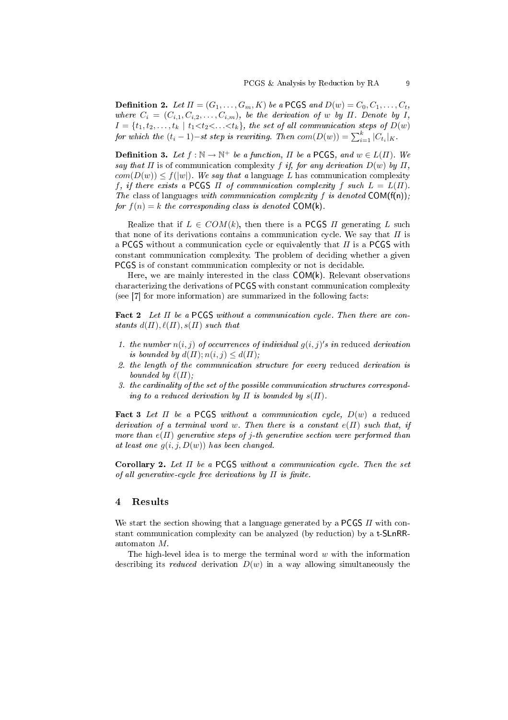**Definition 2.** Let  $\Pi = (G_1, \ldots, G_m, K)$  be a PCGS and  $D(w) = C_0, C_1, \ldots, C_t$ , where  $C_i = (C_{i,1}, C_{i,2}, \ldots, C_{i,m})$ , be the derivation of w by  $\Pi$ . Denote by  $I$ ,  $I = \{t_1, t_2, \ldots, t_k \mid t_1 < t_2 < \ldots < t_k\},\$  the set of all communication steps of  $D(w)$ for which the  $(t_i - 1)$ -st step is rewriting. Then  $com(D(w)) = \sum_{i=1}^{k} |C_{t_i}|_K$ .

**Definition 3.** Let  $f : \mathbb{N} \to \mathbb{N}^+$  be a function,  $\Pi$  be a PCGS, and  $w \in L(\Pi)$ . We say that  $\Pi$  is of communication complexity f if, for any derivation  $D(w)$  by  $\Pi$ ,  $com(D(w)) \le f(|w|)$ . We say that a language L has communication complexity f, if there exists a PCGS  $\Pi$  of communication complexity f such  $L = L(\Pi)$ . The class of languages with communication complexity f is denoted  $COM(f(n))$ ; for  $f(n) = k$  the corresponding class is denoted COM(k).

Realize that if  $L \in \text{COM}(k)$ , then there is a PCGS  $\Pi$  generating  $L$  such that none of its derivations contains a communication cycle. We say that  $\Pi$  is a PCGS without a communication cycle or equivalently that  $\Pi$  is a PCGS with constant communication complexity. The problem of deciding whether a given PCGS is of constant communication complexity or not is decidable.

Here, we are mainly interested in the class COM(k). Relevant observations characterizing the derivations of PCGS with constant communication complexity (see [7] for more information) are summarized in the following facts:

Fact 2 Let  $\Pi$  be a PCGS without a communication cycle. Then there are constants  $d(\Pi)$ ,  $\ell(\Pi)$ ,  $s(\Pi)$  such that

- 1. the number  $n(i, j)$  of occurrences of individual  $g(i, j)'s$  in reduced derivation is bounded by  $d(\Pi); n(i, j) \leq d(\Pi);$
- 2. the length of the communication structure for every reduced derivation is bounded by  $\ell(\Pi)$ ;
- 3. the cardinality of the set of the possible communication structures corresponding to a reduced derivation by  $\Pi$  is bounded by  $s(\Pi)$ .

Fact 3 Let  $\Pi$  be a PCGS without a communication cycle,  $D(w)$  a reduced derivation of a terminal word w. Then there is a constant  $e(\Pi)$  such that, if more than  $e(\Pi)$  generative steps of j-th generative section were performed than at least one  $g(i, j, D(w))$  has been changed.

Corollary 2. Let  $\Pi$  be a PCGS without a communication cycle. Then the set of all generative-cycle free derivations by  $\Pi$  is finite.

# 4 Results

We start the section showing that a language generated by a PCGS  $\Pi$  with constant communication complexity can be analyzed (by reduction) by a t-SLnRRautomaton M.

The high-level idea is to merge the terminal word  $w$  with the information describing its reduced derivation  $D(w)$  in a way allowing simultaneously the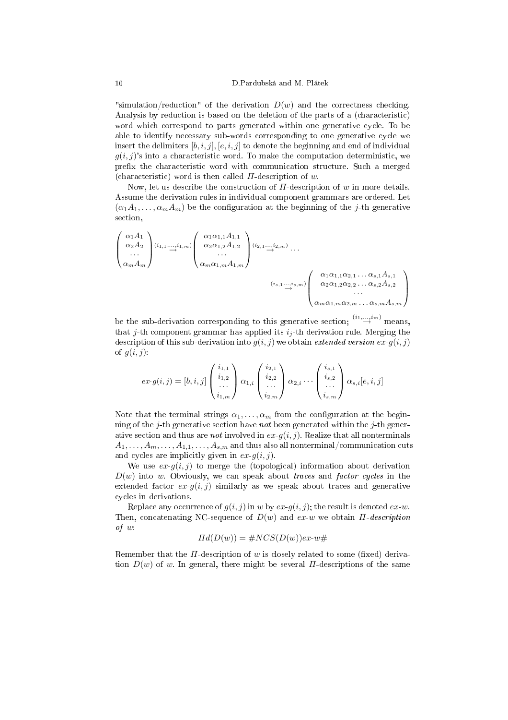#### 10 D.Pardubská and M. Plátek

"simulation/reduction" of the derivation  $D(w)$  and the correctness checking. Analysis by reduction is based on the deletion of the parts of a (characteristic) word which correspond to parts generated within one generative cycle. To be able to identify necessary sub-words corresponding to one generative cycle we insert the delimiters  $[b, i, j]$ ,  $[e, i, j]$  to denote the beginning and end of individual  $g(i, j)$ 's into a characteristic word. To make the computation deterministic, we prefix the characteristic word with communication structure. Such a merged (characteristic) word is then called  $\Pi$ -description of w.

Now, let us describe the construction of  $\Pi$ -description of w in more details. Assume the derivation rules in individual component grammars are ordered. Let  $(\alpha_1A_1,\ldots,\alpha_mA_m)$  be the configuration at the beginning of the j-th generative section,

$$
\begin{pmatrix}\n\alpha_1 A_1 \\
\alpha_2 A_2 \\
\vdots \\
\alpha_m A_m\n\end{pmatrix}\n\begin{pmatrix}\n\alpha_1 \alpha_{1,1} A_{1,1} \\
\alpha_2 \alpha_{1,2} A_{1,2} \\
\vdots \\
\alpha_m \alpha_{1,m} A_{1,m}\n\end{pmatrix}\n\begin{pmatrix}\n\alpha_1 \alpha_{1,1} A_{1,1} \\
\alpha_2 \alpha_{1,2} A_{1,2} \\
\vdots \\
\alpha_m \alpha_{1,m} A_{1,m}\n\end{pmatrix}\n\begin{pmatrix}\n\alpha_1 \alpha_{1,1} \alpha_{2,1} \dots \alpha_{s,1} A_{s,1} \\
\alpha_2 \alpha_{1,2} \alpha_{2,2} \dots \alpha_{s,2} A_{s,2} \\
\vdots \\
\alpha_m \alpha_{1,m} \alpha_{2,m} \dots \alpha_{s,m} A_{s,m}\n\end{pmatrix}
$$

be the sub-derivation corresponding to this generative section;  $\stackrel{(i_1,\ldots,i_m)}{\rightarrow}$  means, that j-th component grammar has applied its  $i_j$ -th derivation rule. Merging the description of this sub-derivation into  $g(i, j)$  we obtain extended version  $ex-g(i, j)$ of  $q(i, j)$ :

$$
ex\text{-}g(i,j)=[b,i,j]\begin{pmatrix}i_{1,1} \\ i_{1,2} \\ \dots \\ i_{1,m}\end{pmatrix}\alpha_{1,i}\begin{pmatrix}i_{2,1} \\ i_{2,2} \\ \dots \\ i_{2,m}\end{pmatrix}\alpha_{2,i}\cdots\begin{pmatrix}i_{s,1} \\ i_{s,2} \\ \dots \\ i_{s,m}\end{pmatrix}\alpha_{s,i}[e,i,j]
$$

Note that the terminal strings  $\alpha_1, \ldots, \alpha_m$  from the configuration at the beginning of the j-th generative section have not been generated within the j-th generative section and thus are *not* involved in  $ex-g(i, j)$ . Realize that all nonterminals  $A_1, \ldots, A_m, \ldots, A_{1,1}, \ldots, A_{s,m}$  and thus also all nonterminal/communication cuts and cycles are implicitly given in  $ex-q(i, j)$ .

We use  $ex-g(i, j)$  to merge the (topological) information about derivation  $D(w)$  into w. Obviously, we can speak about traces and factor cycles in the extended factor  $ex-g(i, j)$  similarly as we speak about traces and generative cycles in derivations.

Replace any occurrence of  $g(i, j)$  in w by  $ex-g(i, j)$ ; the result is denoted  $ex-w$ . Then, concatenating NC-sequence of  $D(w)$  and  $ex-w$  we obtain  $\Pi$ -description of w:

$$
Hd(D(w)) = #NCS(D(w))ex-w#
$$

Remember that the  $\Pi$ -description of w is closely related to some (fixed) derivation  $D(w)$  of w. In general, there might be several  $\Pi$ -descriptions of the same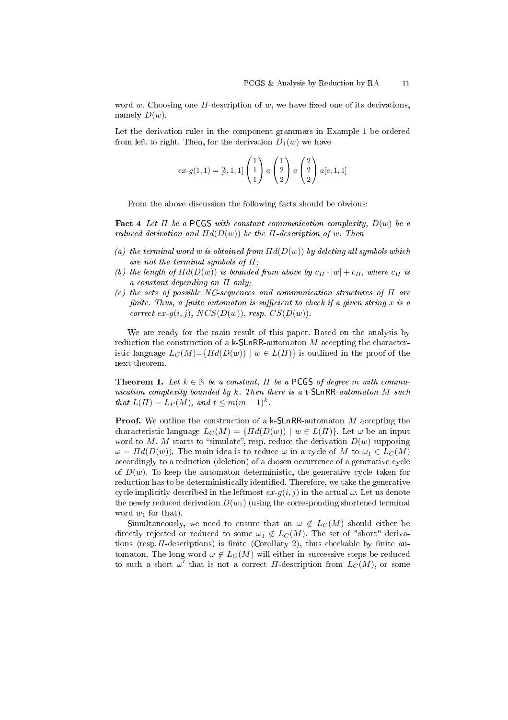word w. Choosing one  $\Pi$ -description of w, we have fixed one of its derivations, namely  $D(w)$ .

Let the derivation rules in the component grammars in Example 1 be ordered from left to right. Then, for the derivation  $D_1(w)$  we have

$$
ex\text{-}g(1,1)=[b,1,1]\begin{pmatrix}1\\1\\1\end{pmatrix}a\begin{pmatrix}1\\2\\2\end{pmatrix}a\begin{pmatrix}2\\2\\2\end{pmatrix}a[e,1,1]
$$

From the above discussion the following facts should be obvious:

Fact 4 Let  $\Pi$  be a PCGS with constant communication complexity,  $D(w)$  be a reduced derivation and  $\Pi d(D(w))$  be the  $\Pi$ -description of w. Then

- (a) the terminal word w is obtained from  $\Pi d(D(w))$  by deleting all symbols which are not the terminal symbols of  $\Pi$ ;
- (b) the length of  $\Pi d(D(w))$  is bounded from above by  $c_{\Pi} \cdot |w| + c_{\Pi}$ , where  $c_{\Pi}$  is a constant depending on Π only;
- (c) the sets of possible NC-sequences and communication structures of  $\Pi$  are finite. Thus, a finite automaton is sufficient to check if a given string  $x$  is a correct ex- $q(i, j)$ ,  $NCS(D(w))$ , resp.  $CS(D(w))$ .

We are ready for the main result of this paper. Based on the analysis by reduction the construction of a k-SLnRR-automaton M accepting the characteristic language  $L_C(M) = \{ \Pi d(D(w)) \mid w \in L(\Pi) \}$  is outlined in the proof of the next theorem.

**Theorem 1.** Let  $k \in \mathbb{N}$  be a constant,  $\Pi$  be a PCGS of degree m with communication complexity bounded by  $k$ . Then there is a t-SLnRR-automaton  $M$  such that  $L(\Pi) = L_P(M)$ , and  $t \leq m(m-1)^k$ .

Proof. We outline the construction of a k-SLnRR-automaton M accepting the characteristic language  $L_C(M) = \{ \Pi d(D(w)) \mid w \in L(\Pi) \}$ . Let  $\omega$  be an input word to M. M starts to "simulate", resp. reduce the derivation  $D(w)$  supposing  $\omega = Hd(D(w))$ . The main idea is to reduce  $\omega$  in a cycle of M to  $\omega_1 \in L<sub>C</sub>(M)$ accordingly to a reduction (deletion) of a chosen occurrence of a generative cycle of  $D(w)$ . To keep the automaton deterministic, the generative cycle taken for reduction has to be deterministically identified. Therefore, we take the generative cycle implicitly described in the leftmost  $ex-g(i, j)$  in the actual  $\omega$ . Let us denote the newly reduced derivation  $D(w_1)$  (using the corresponding shortened terminal word  $w_1$  for that).

Simultaneously, we need to ensure that an  $\omega \notin L<sub>C</sub>(M)$  should either be directly rejected or reduced to some  $\omega_1 \notin L<sub>C</sub>(M)$ . The set of "short" derivations (resp.  $\Pi$ -descriptions) is finite (Corollary 2), thus checkable by finite automaton. The long word  $\omega \notin L<sub>C</sub>(M)$  will either in successive steps be reduced to such a short  $\omega'$  that is not a correct  $\Pi$ -description from  $L_C(M)$ , or some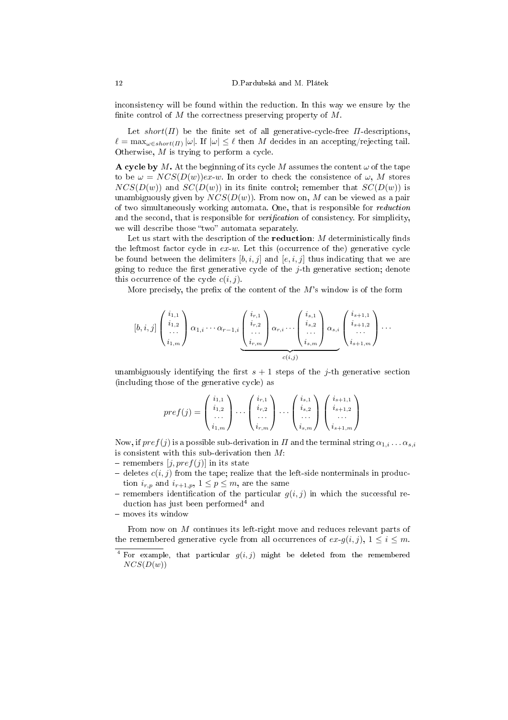inconsistency will be found within the reduction. In this way we ensure by the finite control of M the correctness preserving property of  $M$ .

Let  $short(\Pi)$  be the finite set of all generative-cycle-free  $\Pi$ -descriptions,  $\ell = \max_{\omega \in short(\Pi)} |\omega|$ . If  $|\omega| \leq \ell$  then M decides in an accepting/rejecting tail. Otherwise, M is trying to perform a cycle.

A cycle by M. At the beginning of its cycle M assumes the content  $\omega$  of the tape to be  $\omega = NCS(D(w))ex-w$ . In order to check the consistence of  $\omega$ , M stores  $NCS(D(w))$  and  $SC(D(w))$  in its finite control; remember that  $SC(D(w))$  is unambiguously given by  $NCS(D(w))$ . From now on, M can be viewed as a pair of two simultaneously working automata. One, that is responsible for reduction and the second, that is responsible for *verification* of consistency. For simplicity, we will describe those "two" automata separately.

Let us start with the description of the reduction:  $M$  deterministically finds the leftmost factor cycle in  $ex-w$ . Let this (occurrence of the) generative cycle be found between the delimiters [b, i, j] and [e, i, j] thus indicating that we are going to reduce the first generative cycle of the  $i$ -th generative section; denote this occurrence of the cycle  $c(i, j)$ .

More precisely, the prefix of the content of the  $M$ 's window is of the form

$$
[b,i,j] \begin{pmatrix} i_{1,1} \\ i_{1,2} \\ \cdots \\ i_{1,m} \end{pmatrix} \alpha_{1,i} \cdots \alpha_{r-1,i} \underbrace{\begin{pmatrix} i_{r,1} \\ i_{r,2} \\ \cdots \\ i_{r,m} \end{pmatrix}}_{c(i,j)} \alpha_{r,i} \cdots \underbrace{\begin{pmatrix} i_{s,1} \\ i_{s,2} \\ \cdots \\ i_{s,m} \end{pmatrix}}_{c(i,j)} \alpha_{s,i} \underbrace{\begin{pmatrix} i_{s+1,1} \\ i_{s+1,2} \\ \cdots \\ i_{s+1,m} \end{pmatrix}}_{c(i,j)} \cdots
$$

unambiguously identifying the first  $s + 1$  steps of the *j*-th generative section (including those of the generative cycle) as

$$
pref(j)=\left(\begin{array}{c}i_{1,1}\\i_{1,2}\\ \ldots\\i_{1,m}\end{array}\right)\cdots\left(\begin{array}{c}i_{r,1}\\i_{r,2}\\ \ldots\\i_{r,m}\end{array}\right)\cdots\left(\begin{array}{c}i_{s,1}\\i_{s,2}\\ \ldots\\i_{s,m}\end{array}\right)\left(\begin{array}{c}i_{s+1,1}\\i_{s+1,2}\\ \ldots\\i_{s+1,m}\end{array}\right)
$$

Now, if  $pref(j)$  is a possible sub-derivation in  $\Pi$  and the terminal string  $\alpha_{1,i}\ldots\alpha_{s,i}$ is consistent with this sub-derivation then  $M$ :

- remembers  $[i, pref(i)]$  in its state
- deletes  $c(i, j)$  from the tape; realize that the left-side nonterminals in production  $i_{r,p}$  and  $i_{r+1,p}$ ,  $1 \leq p \leq m$ , are the same
- remembers identification of the particular  $g(i, j)$  in which the successful reduction has just been performed<sup>4</sup> and
- moves its window

From now on M continues its left-right move and reduces relevant parts of the remembered generative cycle from all occurrences of  $ex-q(i,j), 1 \leq i \leq m$ .

<sup>&</sup>lt;sup>4</sup> For example, that particular  $g(i, j)$  might be deleted from the remembered  $NCS(D(w))$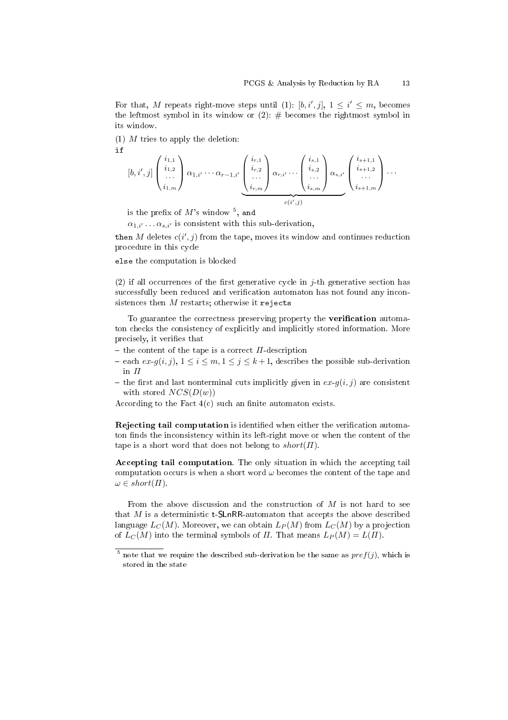For that, M repeats right-move steps until (1): [b, i', j],  $1 \leq i' \leq m$ , becomes the leftmost symbol in its window or  $(2)$ :  $\#$  becomes the rightmost symbol in its window.

 $(1)$  M tries to apply the deletion:

$$
\left[b, i', j\right] \begin{pmatrix} i_{1,1} \\ i_{1,2} \\ \cdots \\ i_{1,m} \end{pmatrix} \alpha_{1,i'} \cdots \alpha_{r-1,i'} \underbrace{\begin{pmatrix} i_{r,1} \\ i_{r,2} \\ \cdots \\ i_{r,m} \end{pmatrix}}_{c(i',j)} \alpha_{r,i'} \cdots \underbrace{\begin{pmatrix} i_{s,1} \\ i_{s,2} \\ \cdots \\ i_{s,m} \end{pmatrix}}_{c(i',j)} \alpha_{s,i'} \begin{pmatrix} i_{s+1,1} \\ i_{s+1,2} \\ \cdots \\ i_{s+1,m} \end{pmatrix} \cdots
$$

is the prefix of  $M$ 's window  $^5$ , and

 $\alpha_{1,i'} \dots \alpha_{s,i'}$  is consistent with this sub-derivation,

then  $M$  deletes  $c(i',j)$  from the tape, moves its window and continues reduction procedure in this cycle

else the computation is blocked

(2) if all occurrences of the first generative cycle in  $i$ -th generative section has successfully been reduced and verification automaton has not found any inconsistences then  $M$  restarts; otherwise it rejects

To guarantee the correctness preserving property the **verification** automaton checks the consistency of explicitly and implicitly stored information. More precisely, it verifies that

- the content of the tape is a correct  $\Pi$ -description
- each  $ex-g(i, j), 1 \leq i \leq m, 1 \leq j \leq k+1$ , describes the possible sub-derivation in  $\Pi$
- the first and last nonterminal cuts implicitly given in  $ex-g(i, j)$  are consistent with stored  $NCS(D(w))$

According to the Fact  $4(c)$  such an finite automaton exists.

Rejecting tail computation is identified when either the verification automaton finds the inconsistency within its left-right move or when the content of the tape is a short word that does not belong to  $short(\Pi)$ .

Accepting tail computation. The only situation in which the accepting tail computation occurs is when a short word  $\omega$  becomes the content of the tape and  $\omega \in short(\Pi).$ 

From the above discussion and the construction of  $M$  is not hard to see that  $M$  is a deterministic t-SLnRR-automaton that accepts the above described language  $L_C(M)$ . Moreover, we can obtain  $L_P(M)$  from  $L_C(M)$  by a projection of  $L<sub>C</sub>(M)$  into the terminal symbols of  $\Pi$ . That means  $L<sub>P</sub>(M) = L(\Pi)$ .

<sup>&</sup>lt;sup>5</sup> note that we require the described sub-derivation be the same as  $pref(j)$ , which is stored in the state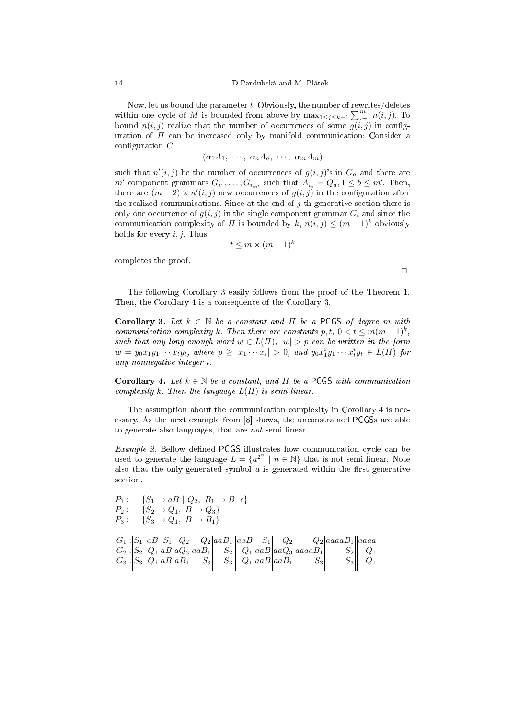Now, let us bound the parameter  $t$ . Obviously, the number of rewrites/deletes Now, let us bound the parameter t. Obviously, the number of rewrites/defectes within one cycle of M is bounded from above by  $\max_{1 \leq j \leq k+1} \sum_{i=1}^m n(i,j)$ . To bound  $n(i, j)$  realize that the number of occurrences of some  $g(i, j)$  in configuration of  $\Pi$  can be increased only by manifold communication: Consider a configuration  $C$ 

$$
(\alpha_1 A_1, \cdots, \alpha_a A_a, \cdots, \alpha_m A_m)
$$

such that  $n'(i, j)$  be the number of occurrences of  $g(i, j)$ 's in  $G_a$  and there are  $m'$  component grammars  $G_{i_1}, \ldots, G_{i_{m'}}$  such that  $A_{i_b} = Q_a, 1 \leq b \leq m'$ . Then, there are  $(m-2) \times n'(i,j)$  new occurrences of  $g(i,j)$  in the configuration after the realized communications. Since at the end of  $i$ -th generative section there is only one occurrence of  $g(i, j)$  in the single component grammar  $G_i$  and since the communication complexity of  $\Pi$  is bounded by k,  $n(i, j) \leq (m-1)^k$  obviously holds for every  $i, j$ . Thus

$$
t \le m \times (m-1)^k
$$

completes the proof.

 $\Box$ 

The following Corollary 3 easily follows from the proof of the Theorem 1. Then, the Corollary 4 is a consequence of the Corollary 3.

Corollary 3. Let  $k \in \mathbb{N}$  be a constant and  $\Pi$  be a PCGS of degree m with communication complexity k. Then there are constants  $p, t, 0 < t \leq m(m-1)^k$ , such that any long enough word  $w \in L(\Pi)$ ,  $|w| > p$  can be written in the form  $w = y_0 x_1 y_1 \cdots x_t y_t$ , where  $p \geq |x_1 \cdots x_t| > 0$ , and  $y_0 x_1^i y_1 \cdots x_t^i y_t \in L(\Pi)$  for any nonnegative integer i.

Corollary 4. Let  $k \in \mathbb{N}$  be a constant, and  $\Pi$  be a PCGS with communication complexity k. Then the language  $L(\Pi)$  is semi-linear.

The assumption about the communication complexity in Corollary 4 is necessary. As the next example from [8] shows, the unconstrained PCGSs are able to generate also languages, that are not semi-linear.

 $Example 2$ . Bellow defined PCGS illustrates how communication cycle can be used to generate the language  $L = \{a^{2^n} \mid n \in \mathbb{N}\}\$  that is not semi-linear. Note also that the only generated symbol  $\alpha$  is generated within the first generative section.

P<sup>1</sup> : {S<sup>1</sup> → aB | Q2, B<sup>1</sup> → B |²} P<sup>2</sup> : {S<sup>2</sup> → Q1, B → Q3} P<sup>3</sup> : {S<sup>3</sup> → Q1, B → B1} G<sup>1</sup> : S<sup>1</sup> aB S<sup>1</sup> Q<sup>2</sup> Q<sup>2</sup> aaB<sup>1</sup> aaB S<sup>1</sup> Q<sup>2</sup> Q<sup>2</sup> aaaaB<sup>1</sup> aaaa G<sup>2</sup> : S<sup>2</sup> Q<sup>1</sup> aB aQ<sup>3</sup> aaB<sup>1</sup> S<sup>2</sup> Q<sup>1</sup> aaB aaQ<sup>3</sup> aaaaB<sup>1</sup> S<sup>2</sup> Q<sup>1</sup> G<sup>3</sup> : S<sup>3</sup> Q<sup>1</sup> aB aB<sup>1</sup> S<sup>3</sup> S<sup>3</sup> Q<sup>1</sup> aaB aaB<sup>1</sup> S<sup>3</sup> S<sup>3</sup> Q<sup>1</sup>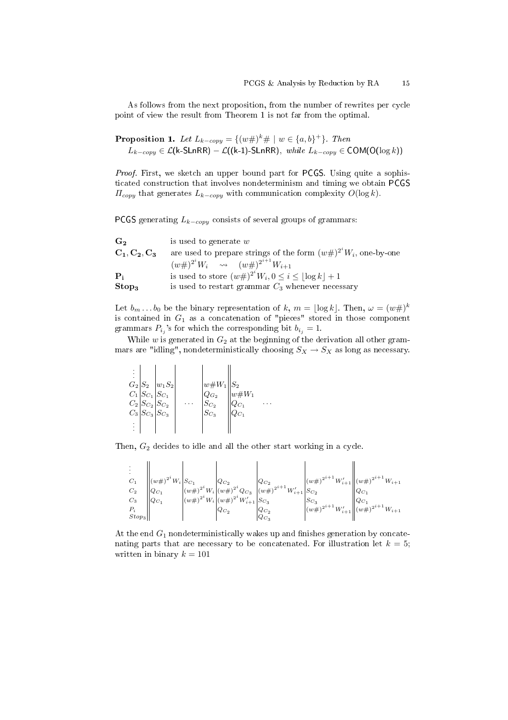As follows from the next proposition, from the number of rewrites per cycle point of view the result from Theorem 1 is not far from the optimal.

**Proposition 1.** Let  $L_{k-copy} = \{(w\#)^k \# \mid w \in \{a, b\}^+\}$ . Then  $L_{k-copy}$  ∈  $\mathcal{L}$ (k-SLnRR) –  $\mathcal{L}$ ((k-1)-SLnRR), while  $L_{k-copy}$  ∈ COM(O(log k))

Proof. First, we sketch an upper bound part for PCGS. Using quite a sophisticated construction that involves nondeterminism and timing we obtain PCGS  $\Pi_{copy}$  that generates  $L_{k-copy}$  with communication complexity  $O(\log k)$ .

PCGS generating  $L_{k-copy}$  consists of several groups of grammars:

| G <sub>2</sub>    | is used to generate $w$                                              |
|-------------------|----------------------------------------------------------------------|
| $C_1, C_2, C_3$   | are used to prepare strings of the form $(w#)^{2^s}W_i$ , one-by-one |
|                   | $(w\#)^{2^i}W_i \longrightarrow (w\#)^{2^{i+1}}W_{i+1}$              |
| ${\bf P}$         | is used to store $(w\#)^{2^i}W_i, 0 \leq i \leq  \log k  + 1$        |
| Stop <sub>3</sub> | is used to restart grammar $C_3$ whenever necessary                  |

Let  $b_m \dots b_0$  be the binary representation of k,  $m = \lfloor \log k \rfloor$ . Then,  $\omega = (w \#)^k$ is contained in  $G_1$  as a concatenation of "pieces" stored in those component grammars  $P_{i_j}$ 's for which the corresponding bit  $b_{i_j} = 1$ .

While  $w$  is generated in  $G_2$  at the beginning of the derivation all other grammars are "idling", nondeterministically choosing  $S_X \to S_X$  as long as necessary.

|  | $G_2 S_2 $<br>$C_1   S_{C_1}   S_{C_1}$<br>$C_2  S_{C_2}  S_{C_2}$<br>$C_3\big S_{C_3}\big S_{C_3}$ | $ w_1S_2 $ |  | $w \# W_1$<br>$\frac{w}{q_{G_2}}$ | $\vert w\# W_1$<br>$Q_{C_1}$ |  |
|--|-----------------------------------------------------------------------------------------------------|------------|--|-----------------------------------|------------------------------|--|
|--|-----------------------------------------------------------------------------------------------------|------------|--|-----------------------------------|------------------------------|--|

 $\mathcal{L}$ 

Then,  $G_2$  decides to idle and all the other start working in a cycle.

| $C_2$             |  |                  |                     |                                                                                                                                                                                                                                                                                                                                                                                                                                                                                                                                    |
|-------------------|--|------------------|---------------------|------------------------------------------------------------------------------------------------------------------------------------------------------------------------------------------------------------------------------------------------------------------------------------------------------------------------------------------------------------------------------------------------------------------------------------------------------------------------------------------------------------------------------------|
| $\mathcal{C}_3$   |  |                  |                     | $\begin{vmatrix} (w\#)^{2^i}W_i \begin{vmatrix} S_{C_1} & & & \\ w\#^2 & W_i \end{vmatrix} \begin{vmatrix} Q_{C_2} & & \\ (w\#)^{2^i}W_i & & \\ (w\#)^{2^i}W_i & & \\ (w\#)^{2^i}W_i & & \\ (w\#)^{2^i}W_i & & \end{vmatrix} \begin{vmatrix} Q_{C_2} & & \\ (w\#)^{2^{i+1}}W_{i+1} & & \\ (w\#)^{2^{i+1}}W_{i+1} & & \\ S_{C_3} & & \\ S_{C_3} & & \\ S_{C_4} & & \\ \end{vmatrix} \begin$<br>$\begin{vmatrix} S_{C_3} (w \# )^{2^{i+1}} W'_{i+1} \end{vmatrix}$ $\begin{vmatrix} Q_{C_1} (w \# )^{2^{i+1}} W_{i+1} \end{vmatrix}$ |
|                   |  | ${\cal Q}_{C_2}$ | $\mathcal{Q}_{C_2}$ |                                                                                                                                                                                                                                                                                                                                                                                                                                                                                                                                    |
| Stop <sub>3</sub> |  |                  | $Q_{C_3}$           |                                                                                                                                                                                                                                                                                                                                                                                                                                                                                                                                    |

At the end  $G_1$  nondeterministically wakes up and finishes generation by concatenating parts that are necessary to be concatenated. For illustration let  $k = 5$ ; written in binary  $k = 101$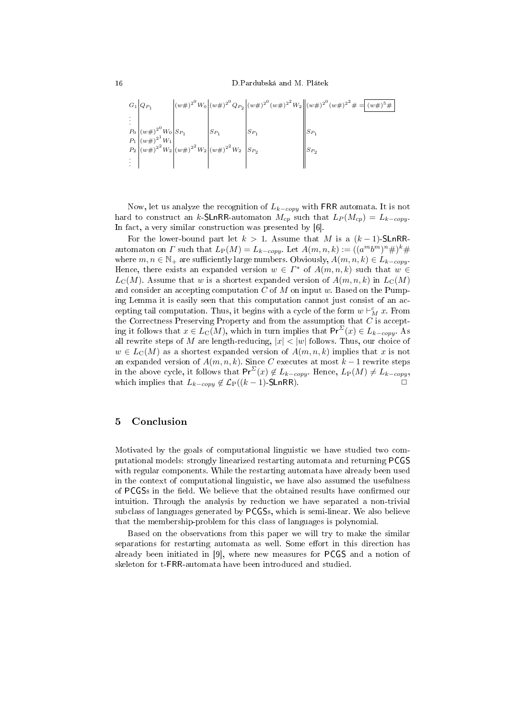16 D.Pardubská and M. Plátek

$$
G_{1}\begin{vmatrix} Q_{P_{1}} \ \vdots \ Q_{P_{1}} \end{vmatrix} (w\#)^{2^{0}} W_{0} \begin{vmatrix} (w\#)^{2^{0}} Q_{P_{2}} \ \vdots \ P_{1} \end{vmatrix} (w\#)^{2^{0}} (w\#)^{2^{0}} (w\#)^{2^{0}} (w\#)^{2^{0}} (w\#)^{2^{0}} \# = (w\#)^{5}\#
$$
  
\n
$$
G_{1} \begin{vmatrix} (w\#)^{2^{0}} W_{0} \ (w\#)^{2^{1}} W_{1} \ (w\#)^{2^{1}} W_{2} \ (w\#)^{2^{2}} W_{2} \ \vdots \end{vmatrix} S_{P_{1}} S_{P_{2}}
$$
  
\n
$$
S_{P_{2}} \begin{vmatrix} S_{P_{1}} \ \vdots \ \end{vmatrix} S_{P_{2}}
$$

Now, let us analyze the recognition of  $L_{k-copy}$  with FRR automata. It is not hard to construct an k-SLnRR-automaton  $M_{cp}$  such that  $L_P (M_{cp}) = L_{k-copy}$ . In fact, a very similar construction was presented by [6].

For the lower-bound part let  $k > 1$ . Assume that M is a  $(k-1)$ -SLnRRautomaton on  $\Gamma$  such that  $L_P(M) = L_{k-copy}$ . Let  $A(m, n, k) := ((a^m b^m)^n \#)^k \#$ where  $m, n \in \mathbb{N}_+$  are sufficiently large numbers. Obviously,  $A(m, n, k) \in L_{k-copy}$ . Hence, there exists an expanded version  $w \in \Gamma^*$  of  $A(m, n, k)$  such that  $w \in$  $L<sub>C</sub>(M)$ . Assume that w is a shortest expanded version of  $A(m, n, k)$  in  $L<sub>C</sub>(M)$ and consider an accepting computation C of M on input w. Based on the Pumping Lemma it is easily seen that this computation cannot just consist of an accepting tail computation. Thus, it begins with a cycle of the form  $w \vdash_M^c x$ . From the Correctness Preserving Property and from the assumption that  $C$  is accepting it follows that  $x \in L_{\mathcal{C}}(M)$ , which in turn implies that  $Pr^{\Sigma}(x) \in L_{k-copy}$ . As all rewrite steps of M are length-reducing,  $|x| < |w|$  follows. Thus, our choice of  $w \in L_{\mathbb{C}}(M)$  as a shortest expanded version of  $A(m, n, k)$  implies that x is not an expanded version of  $A(m, n, k)$ . Since C executes at most  $k-1$  rewrite steps in the above cycle, it follows that  $Pr^{\Sigma}(x) \notin L_{k-copy}$ . Hence,  $L_P(M) \neq L_{k-copy}$ , which implies that  $L_{k-copy} \notin \mathcal{L}_{\mathrm{P}}((k-1)$ -SLnRR).

### 5 Conclusion

Motivated by the goals of computational linguistic we have studied two computational models: strongly linearized restarting automata and returning PCGS with regular components. While the restarting automata have already been used in the context of computational linguistic, we have also assumed the usefulness of PCGSs in the field. We believe that the obtained results have confirmed our intuition. Through the analysis by reduction we have separated a non-trivial subclass of languages generated by PCGSs, which is semi-linear. We also believe that the membership-problem for this class of languages is polynomial.

Based on the observations from this paper we will try to make the similar separations for restarting automata as well. Some effort in this direction has already been initiated in [9], where new measures for PCGS and a notion of skeleton for t-FRR-automata have been introduced and studied.